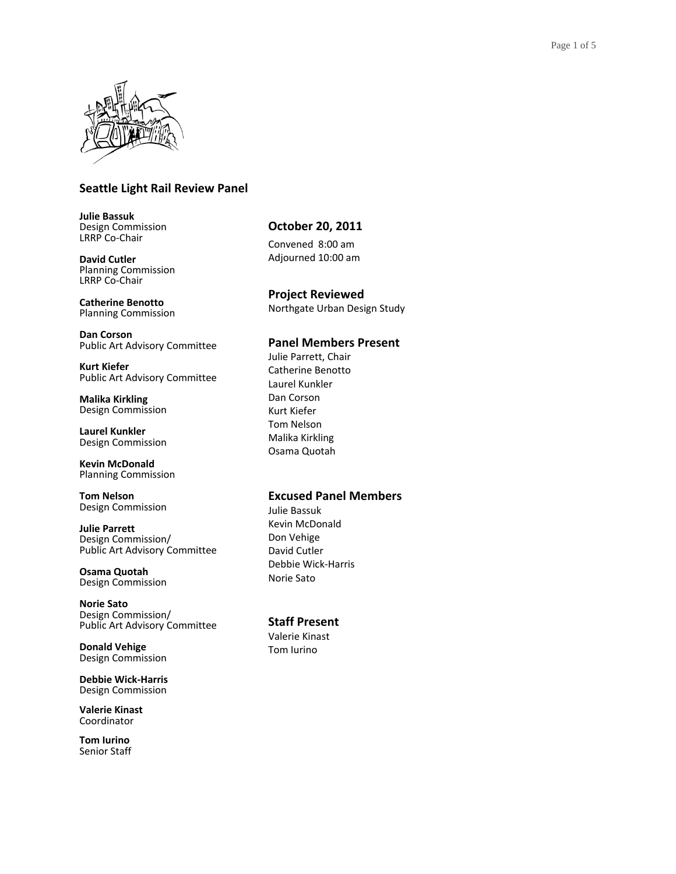

## **Seattle Light Rail Review Panel**

**Julie Bassuk** Design Commission LRRP Co-Chair

**David Cutler** Planning Commission LRRP Co-Chair

**Catherine Benotto** Planning Commission

**Dan Corson** Public Art Advisory Committee

**Kurt Kiefer** Public Art Advisory Committee

**Malika Kirkling** Design Commission

**Laurel Kunkler** Design Commission

**Kevin McDonald** Planning Commission

**Tom Nelson** Design Commission

**Julie Parrett** Design Commission/ Public Art Advisory Committee

**Osama Quotah** Design Commission

**Norie Sato** Design Commission/ Public Art Advisory Committee

**Donald Vehige** Design Commission

**Debbie Wick-Harris** Design Commission

**Valerie Kinast** Coordinator

**Tom Iurino** Senior Staff

### **October 20, 2011**

Convened 8:00 am Adjourned 10:00 am

**Project Reviewed**  Northgate Urban Design Study

### **Panel Members Present**

Julie Parrett, Chair Catherine Benotto Laurel Kunkler Dan Corson Kurt Kiefer Tom Nelson Malika Kirkling Osama Quotah

### **Excused Panel Members**

Julie Bassuk Kevin McDonald Don Vehige David Cutler Debbie Wick-Harris Norie Sato

### **Staff Present**

Valerie Kinast Tom Iurino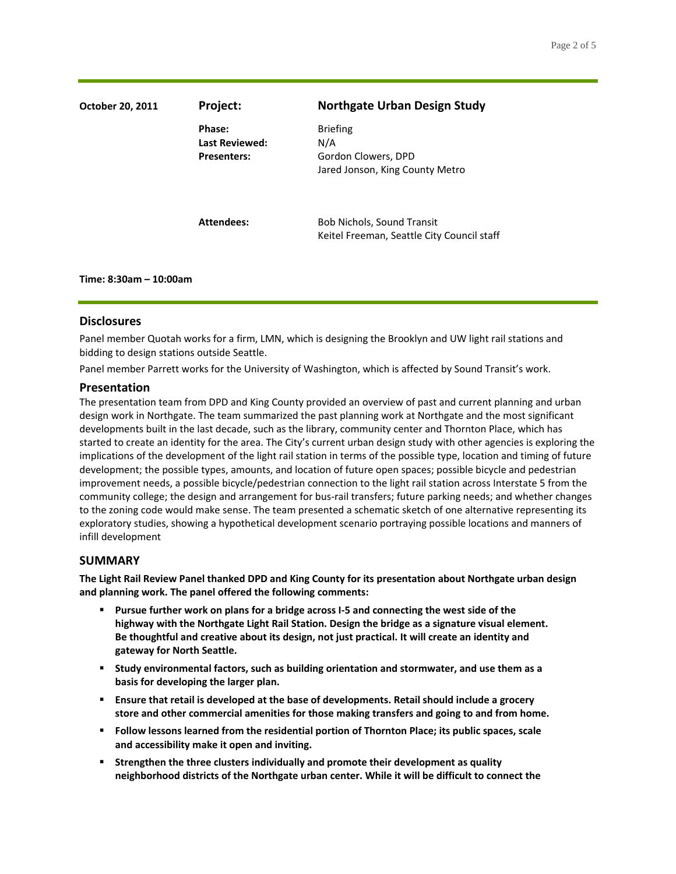| October 20, 2011 | Project:                                              | <b>Northgate Urban Design Study</b>                                              |
|------------------|-------------------------------------------------------|----------------------------------------------------------------------------------|
|                  | Phase:<br><b>Last Reviewed:</b><br><b>Presenters:</b> | <b>Briefing</b><br>N/A<br>Gordon Clowers, DPD<br>Jared Jonson, King County Metro |
|                  | Attendees:                                            | Bob Nichols, Sound Transit<br>Keitel Freeman, Seattle City Council staff         |

# **Disclosures**

**Time: 8:30am – 10:00am**

Panel member Quotah works for a firm, LMN, which is designing the Brooklyn and UW light rail stations and bidding to design stations outside Seattle.

Panel member Parrett works for the University of Washington, which is affected by Sound Transit's work.

### **Presentation**

The presentation team from DPD and King County provided an overview of past and current planning and urban design work in Northgate. The team summarized the past planning work at Northgate and the most significant developments built in the last decade, such as the library, community center and Thornton Place, which has started to create an identity for the area. The City's current urban design study with other agencies is exploring the implications of the development of the light rail station in terms of the possible type, location and timing of future development; the possible types, amounts, and location of future open spaces; possible bicycle and pedestrian improvement needs, a possible bicycle/pedestrian connection to the light rail station across Interstate 5 from the community college; the design and arrangement for bus-rail transfers; future parking needs; and whether changes to the zoning code would make sense. The team presented a schematic sketch of one alternative representing its exploratory studies, showing a hypothetical development scenario portraying possible locations and manners of infill development

### **SUMMARY**

**The Light Rail Review Panel thanked DPD and King County for its presentation about Northgate urban design and planning work. The panel offered the following comments:**

- **Pursue further work on plans for a bridge across I-5 and connecting the west side of the highway with the Northgate Light Rail Station. Design the bridge as a signature visual element. Be thoughtful and creative about its design, not just practical. It will create an identity and gateway for North Seattle.**
- **Study environmental factors, such as building orientation and stormwater, and use them as a basis for developing the larger plan.**
- **Ensure that retail is developed at the base of developments. Retail should include a grocery store and other commercial amenities for those making transfers and going to and from home.**
- **Follow lessons learned from the residential portion of Thornton Place; its public spaces, scale and accessibility make it open and inviting.**
- **Strengthen the three clusters individually and promote their development as quality neighborhood districts of the Northgate urban center. While it will be difficult to connect the**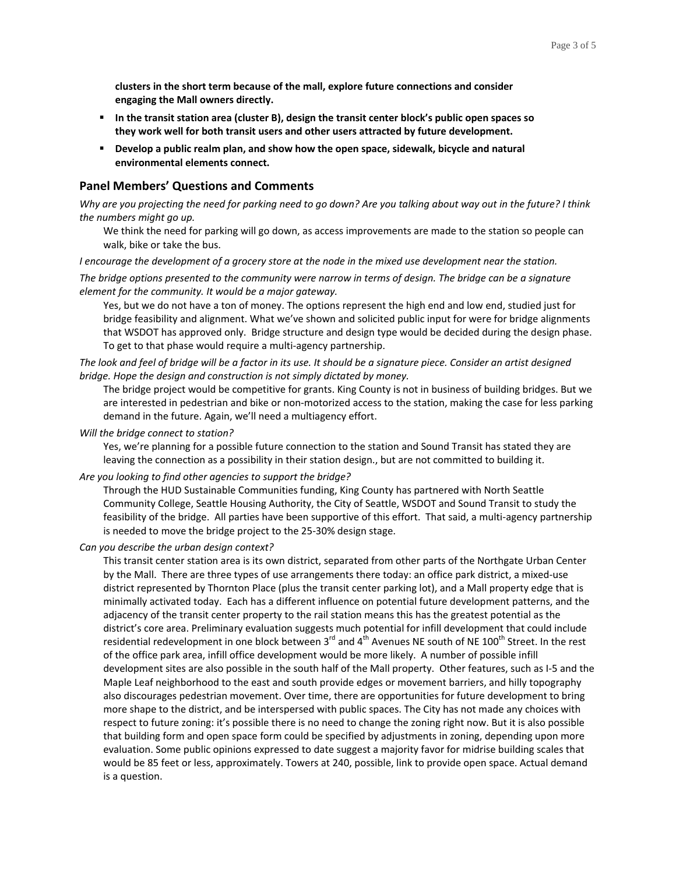**clusters in the short term because of the mall, explore future connections and consider engaging the Mall owners directly.**

- **In the transit station area (cluster B), design the transit center block's public open spaces so they work well for both transit users and other users attracted by future development.**
- **Develop a public realm plan, and show how the open space, sidewalk, bicycle and natural environmental elements connect.**

#### **Panel Members' Questions and Comments**

*Why are you projecting the need for parking need to go down? Are you talking about way out in the future? I think the numbers might go up.*

We think the need for parking will go down, as access improvements are made to the station so people can walk, bike or take the bus.

*I encourage the development of a grocery store at the node in the mixed use development near the station.*

*The bridge options presented to the community were narrow in terms of design. The bridge can be a signature element for the community. It would be a major gateway.*

Yes, but we do not have a ton of money. The options represent the high end and low end, studied just for bridge feasibility and alignment. What we've shown and solicited public input for were for bridge alignments that WSDOT has approved only. Bridge structure and design type would be decided during the design phase. To get to that phase would require a multi-agency partnership.

*The look and feel of bridge will be a factor in its use. It should be a signature piece. Consider an artist designed bridge. Hope the design and construction is not simply dictated by money.*

The bridge project would be competitive for grants. King County is not in business of building bridges. But we are interested in pedestrian and bike or non-motorized access to the station, making the case for less parking demand in the future. Again, we'll need a multiagency effort.

*Will the bridge connect to station?*

Yes, we're planning for a possible future connection to the station and Sound Transit has stated they are leaving the connection as a possibility in their station design., but are not committed to building it.

#### *Are you looking to find other agencies to support the bridge?*

Through the HUD Sustainable Communities funding, King County has partnered with North Seattle Community College, Seattle Housing Authority, the City of Seattle, WSDOT and Sound Transit to study the feasibility of the bridge. All parties have been supportive of this effort. That said, a multi-agency partnership is needed to move the bridge project to the 25-30% design stage.

*Can you describe the urban design context?*

This transit center station area is its own district, separated from other parts of the Northgate Urban Center by the Mall. There are three types of use arrangements there today: an office park district, a mixed-use district represented by Thornton Place (plus the transit center parking lot), and a Mall property edge that is minimally activated today. Each has a different influence on potential future development patterns, and the adjacency of the transit center property to the rail station means this has the greatest potential as the district's core area. Preliminary evaluation suggests much potential for infill development that could include residential redevelopment in one block between 3<sup>rd</sup> and 4<sup>th</sup> Avenues NE south of NE 100<sup>th</sup> Street. In the rest of the office park area, infill office development would be more likely. A number of possible infill development sites are also possible in the south half of the Mall property. Other features, such as I-5 and the Maple Leaf neighborhood to the east and south provide edges or movement barriers, and hilly topography also discourages pedestrian movement. Over time, there are opportunities for future development to bring more shape to the district, and be interspersed with public spaces. The City has not made any choices with respect to future zoning: it's possible there is no need to change the zoning right now. But it is also possible that building form and open space form could be specified by adjustments in zoning, depending upon more evaluation. Some public opinions expressed to date suggest a majority favor for midrise building scales that would be 85 feet or less, approximately. Towers at 240, possible, link to provide open space. Actual demand is a question.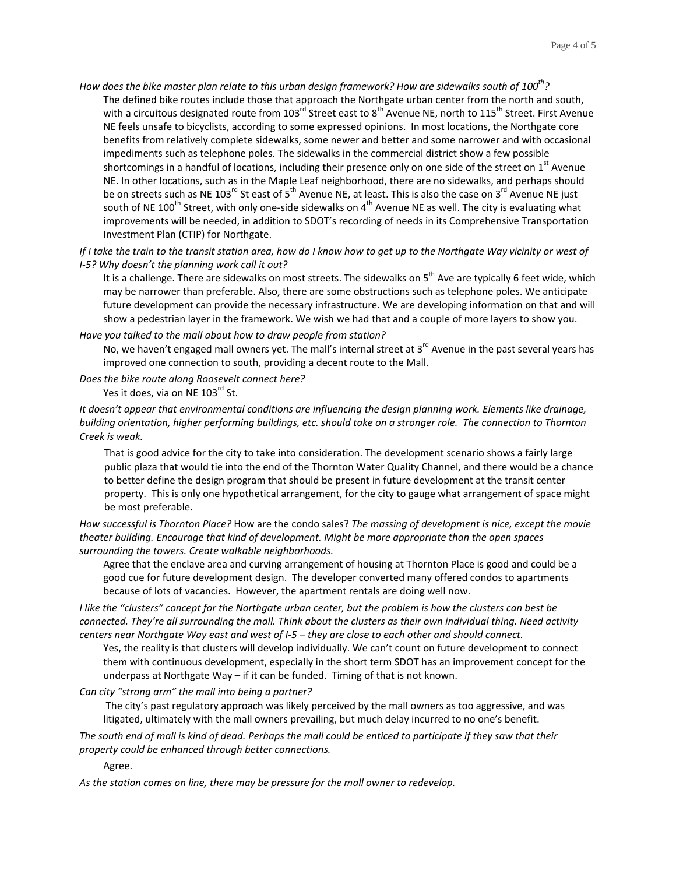*How does the bike master plan relate to this urban design framework? How are sidewalks south of 100th?* The defined bike routes include those that approach the Northgate urban center from the north and south, with a circuitous designated route from 103<sup>rd</sup> Street east to 8<sup>th</sup> Avenue NE, north to 115<sup>th</sup> Street. First Avenue NE feels unsafe to bicyclists, according to some expressed opinions. In most locations, the Northgate core benefits from relatively complete sidewalks, some newer and better and some narrower and with occasional impediments such as telephone poles. The sidewalks in the commercial district show a few possible shortcomings in a handful of locations, including their presence only on one side of the street on  $1<sup>st</sup>$  Avenue NE. In other locations, such as in the Maple Leaf neighborhood, there are no sidewalks, and perhaps should be on streets such as NE 103<sup>rd</sup> St east of 5<sup>th</sup> Avenue NE, at least. This is also the case on 3<sup>rd</sup> Avenue NE just south of NE 100<sup>th</sup> Street, with only one-side sidewalks on 4<sup>th</sup> Avenue NE as well. The city is evaluating what improvements will be needed, in addition to SDOT's recording of needs in its Comprehensive Transportation Investment Plan (CTIP) for Northgate.

*If I take the train to the transit station area, how do I know how to get up to the Northgate Way vicinity or west of I-5? Why doesn't the planning work call it out?*

It is a challenge. There are sidewalks on most streets. The sidewalks on 5<sup>th</sup> Ave are typically 6 feet wide, which may be narrower than preferable. Also, there are some obstructions such as telephone poles. We anticipate future development can provide the necessary infrastructure. We are developing information on that and will show a pedestrian layer in the framework. We wish we had that and a couple of more layers to show you.

#### *Have you talked to the mall about how to draw people from station?*

No, we haven't engaged mall owners yet. The mall's internal street at 3<sup>rd</sup> Avenue in the past several years has improved one connection to south, providing a decent route to the Mall.

*Does the bike route along Roosevelt connect here?*

Yes it does, via on NE 103<sup>rd</sup> St.

*It doesn't appear that environmental conditions are influencing the design planning work. Elements like drainage, building orientation, higher performing buildings, etc. should take on a stronger role. The connection to Thornton Creek is weak.* 

That is good advice for the city to take into consideration. The development scenario shows a fairly large public plaza that would tie into the end of the Thornton Water Quality Channel, and there would be a chance to better define the design program that should be present in future development at the transit center property. This is only one hypothetical arrangement, for the city to gauge what arrangement of space might be most preferable.

*How successful is Thornton Place?* How are the condo sales? *The massing of development is nice, except the movie theater building. Encourage that kind of development. Might be more appropriate than the open spaces surrounding the towers. Create walkable neighborhoods.*

Agree that the enclave area and curving arrangement of housing at Thornton Place is good and could be a good cue for future development design. The developer converted many offered condos to apartments because of lots of vacancies. However, the apartment rentals are doing well now.

*I like the "clusters" concept for the Northgate urban center, but the problem is how the clusters can best be connected. They're all surrounding the mall. Think about the clusters as their own individual thing. Need activity centers near Northgate Way east and west of I-5 – they are close to each other and should connect.*

Yes, the reality is that clusters will develop individually. We can't count on future development to connect them with continuous development, especially in the short term SDOT has an improvement concept for the underpass at Northgate Way – if it can be funded. Timing of that is not known.

#### *Can city "strong arm" the mall into being a partner?*

The city's past regulatory approach was likely perceived by the mall owners as too aggressive, and was litigated, ultimately with the mall owners prevailing, but much delay incurred to no one's benefit.

*The south end of mall is kind of dead. Perhaps the mall could be enticed to participate if they saw that their property could be enhanced through better connections.* 

Agree.

*As the station comes on line, there may be pressure for the mall owner to redevelop.*